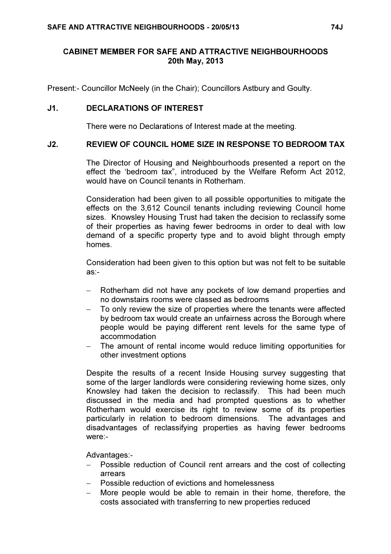### CABINET MEMBER FOR SAFE AND ATTRACTIVE NEIGHBOURHOODS 20th May, 2013

Present:- Councillor McNeely (in the Chair); Councillors Astbury and Goulty.

### J1. DECLARATIONS OF INTEREST

There were no Declarations of Interest made at the meeting.

#### J2. REVIEW OF COUNCIL HOME SIZE IN RESPONSE TO BEDROOM TAX

 The Director of Housing and Neighbourhoods presented a report on the effect the 'bedroom tax", introduced by the Welfare Reform Act 2012, would have on Council tenants in Rotherham.

Consideration had been given to all possible opportunities to mitigate the effects on the 3,612 Council tenants including reviewing Council home sizes. Knowsley Housing Trust had taken the decision to reclassify some of their properties as having fewer bedrooms in order to deal with low demand of a specific property type and to avoid blight through empty homes.

Consideration had been given to this option but was not felt to be suitable as:-

- − Rotherham did not have any pockets of low demand properties and no downstairs rooms were classed as bedrooms
- To only review the size of properties where the tenants were affected by bedroom tax would create an unfairness across the Borough where people would be paying different rent levels for the same type of accommodation
- The amount of rental income would reduce limiting opportunities for other investment options

Despite the results of a recent Inside Housing survey suggesting that some of the larger landlords were considering reviewing home sizes, only Knowsley had taken the decision to reclassify. This had been much discussed in the media and had prompted questions as to whether Rotherham would exercise its right to review some of its properties particularly in relation to bedroom dimensions. The advantages and disadvantages of reclassifying properties as having fewer bedrooms were:-

Advantages:-

- − Possible reduction of Council rent arrears and the cost of collecting arrears
- − Possible reduction of evictions and homelessness
- − More people would be able to remain in their home, therefore, the costs associated with transferring to new properties reduced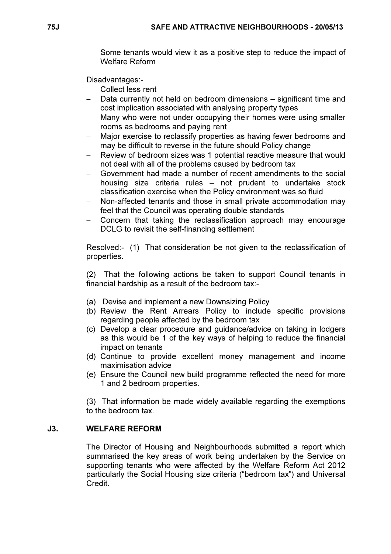− Some tenants would view it as a positive step to reduce the impact of Welfare Reform

Disadvantages:-

- − Collect less rent
- Data currently not held on bedroom dimensions significant time and cost implication associated with analysing property types
- Many who were not under occupying their homes were using smaller rooms as bedrooms and paying rent
- Major exercise to reclassify properties as having fewer bedrooms and may be difficult to reverse in the future should Policy change
- Review of bedroom sizes was 1 potential reactive measure that would not deal with all of the problems caused by bedroom tax
- − Government had made a number of recent amendments to the social housing size criteria rules – not prudent to undertake stock classification exercise when the Policy environment was so fluid
- Non-affected tenants and those in small private accommodation may feel that the Council was operating double standards
- − Concern that taking the reclassification approach may encourage DCLG to revisit the self-financing settlement

Resolved:- (1) That consideration be not given to the reclassification of properties.

(2) That the following actions be taken to support Council tenants in financial hardship as a result of the bedroom tax:-

- (a) Devise and implement a new Downsizing Policy
- (b) Review the Rent Arrears Policy to include specific provisions regarding people affected by the bedroom tax
- (c) Develop a clear procedure and guidance/advice on taking in lodgers as this would be 1 of the key ways of helping to reduce the financial impact on tenants
- (d) Continue to provide excellent money management and income maximisation advice
- (e) Ensure the Council new build programme reflected the need for more 1 and 2 bedroom properties.

(3) That information be made widely available regarding the exemptions to the bedroom tax.

#### J3. WELFARE REFORM

 The Director of Housing and Neighbourhoods submitted a report which summarised the key areas of work being undertaken by the Service on supporting tenants who were affected by the Welfare Reform Act 2012 particularly the Social Housing size criteria ("bedroom tax") and Universal Credit.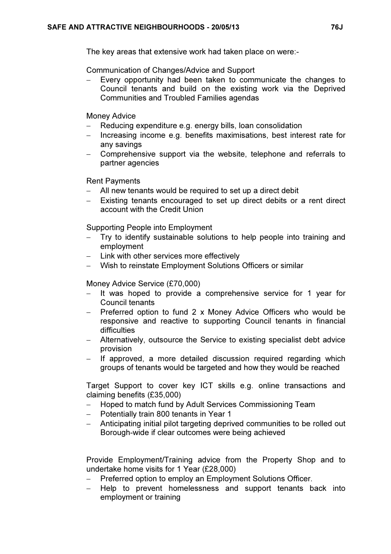The key areas that extensive work had taken place on were:-

Communication of Changes/Advice and Support

Every opportunity had been taken to communicate the changes to Council tenants and build on the existing work via the Deprived Communities and Troubled Families agendas

Money Advice

- Reducing expenditure e.g. energy bills, loan consolidation
- − Increasing income e.g. benefits maximisations, best interest rate for any savings
- − Comprehensive support via the website, telephone and referrals to partner agencies

Rent Payments

- − All new tenants would be required to set up a direct debit
- Existing tenants encouraged to set up direct debits or a rent direct account with the Credit Union

Supporting People into Employment

- Try to identify sustainable solutions to help people into training and employment
- − Link with other services more effectively
- − Wish to reinstate Employment Solutions Officers or similar

Money Advice Service (£70,000)

- − It was hoped to provide a comprehensive service for 1 year for Council tenants
- − Preferred option to fund 2 x Money Advice Officers who would be responsive and reactive to supporting Council tenants in financial difficulties
- − Alternatively, outsource the Service to existing specialist debt advice provision
- − If approved, a more detailed discussion required regarding which groups of tenants would be targeted and how they would be reached

Target Support to cover key ICT skills e.g. online transactions and claiming benefits (£35,000)

- − Hoped to match fund by Adult Services Commissioning Team
- − Potentially train 800 tenants in Year 1
- − Anticipating initial pilot targeting deprived communities to be rolled out Borough-wide if clear outcomes were being achieved

Provide Employment/Training advice from the Property Shop and to undertake home visits for 1 Year (£28,000)

- Preferred option to employ an Employment Solutions Officer.
- Help to prevent homelessness and support tenants back into employment or training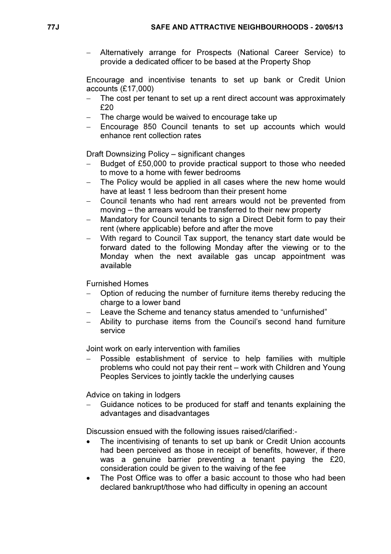− Alternatively arrange for Prospects (National Career Service) to provide a dedicated officer to be based at the Property Shop

Encourage and incentivise tenants to set up bank or Credit Union accounts (£17,000)

- − The cost per tenant to set up a rent direct account was approximately £20
- The charge would be waived to encourage take up
- − Encourage 850 Council tenants to set up accounts which would enhance rent collection rates

Draft Downsizing Policy – significant changes

- Budget of £50,000 to provide practical support to those who needed to move to a home with fewer bedrooms
- The Policy would be applied in all cases where the new home would have at least 1 less bedroom than their present home
- − Council tenants who had rent arrears would not be prevented from moving – the arrears would be transferred to their new property
- Mandatory for Council tenants to sign a Direct Debit form to pay their rent (where applicable) before and after the move
- − With regard to Council Tax support, the tenancy start date would be forward dated to the following Monday after the viewing or to the Monday when the next available gas uncap appointment was available

Furnished Homes

- Option of reducing the number of furniture items thereby reducing the charge to a lower band
- − Leave the Scheme and tenancy status amended to "unfurnished"
- − Ability to purchase items from the Council's second hand furniture service

Joint work on early intervention with families

− Possible establishment of service to help families with multiple problems who could not pay their rent – work with Children and Young Peoples Services to jointly tackle the underlying causes

Advice on taking in lodgers

− Guidance notices to be produced for staff and tenants explaining the advantages and disadvantages

Discussion ensued with the following issues raised/clarified:-

- The incentivising of tenants to set up bank or Credit Union accounts had been perceived as those in receipt of benefits, however, if there was a genuine barrier preventing a tenant paying the £20, consideration could be given to the waiving of the fee
- The Post Office was to offer a basic account to those who had been declared bankrupt/those who had difficulty in opening an account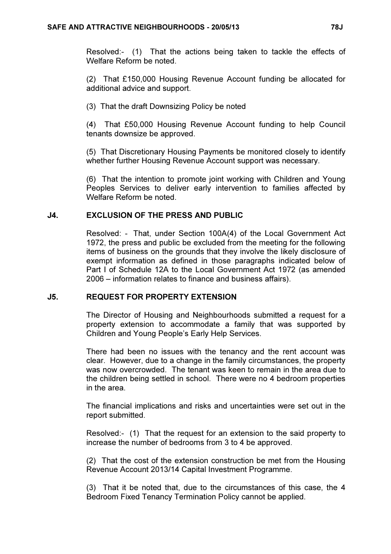Resolved:- (1) That the actions being taken to tackle the effects of Welfare Reform be noted.

(2) That £150,000 Housing Revenue Account funding be allocated for additional advice and support.

(3) That the draft Downsizing Policy be noted

(4) That £50,000 Housing Revenue Account funding to help Council tenants downsize be approved.

(5) That Discretionary Housing Payments be monitored closely to identify whether further Housing Revenue Account support was necessary.

(6) That the intention to promote joint working with Children and Young Peoples Services to deliver early intervention to families affected by Welfare Reform be noted.

## J4. EXCLUSION OF THE PRESS AND PUBLIC

 Resolved: - That, under Section 100A(4) of the Local Government Act 1972, the press and public be excluded from the meeting for the following items of business on the grounds that they involve the likely disclosure of exempt information as defined in those paragraphs indicated below of Part I of Schedule 12A to the Local Government Act 1972 (as amended 2006 – information relates to finance and business affairs).

# J5. REQUEST FOR PROPERTY EXTENSION

 The Director of Housing and Neighbourhoods submitted a request for a property extension to accommodate a family that was supported by Children and Young People's Early Help Services.

There had been no issues with the tenancy and the rent account was clear. However, due to a change in the family circumstances, the property was now overcrowded. The tenant was keen to remain in the area due to the children being settled in school. There were no 4 bedroom properties in the area.

The financial implications and risks and uncertainties were set out in the report submitted.

Resolved:- (1) That the request for an extension to the said property to increase the number of bedrooms from 3 to 4 be approved.

(2) That the cost of the extension construction be met from the Housing Revenue Account 2013/14 Capital Investment Programme.

(3) That it be noted that, due to the circumstances of this case, the 4 Bedroom Fixed Tenancy Termination Policy cannot be applied.